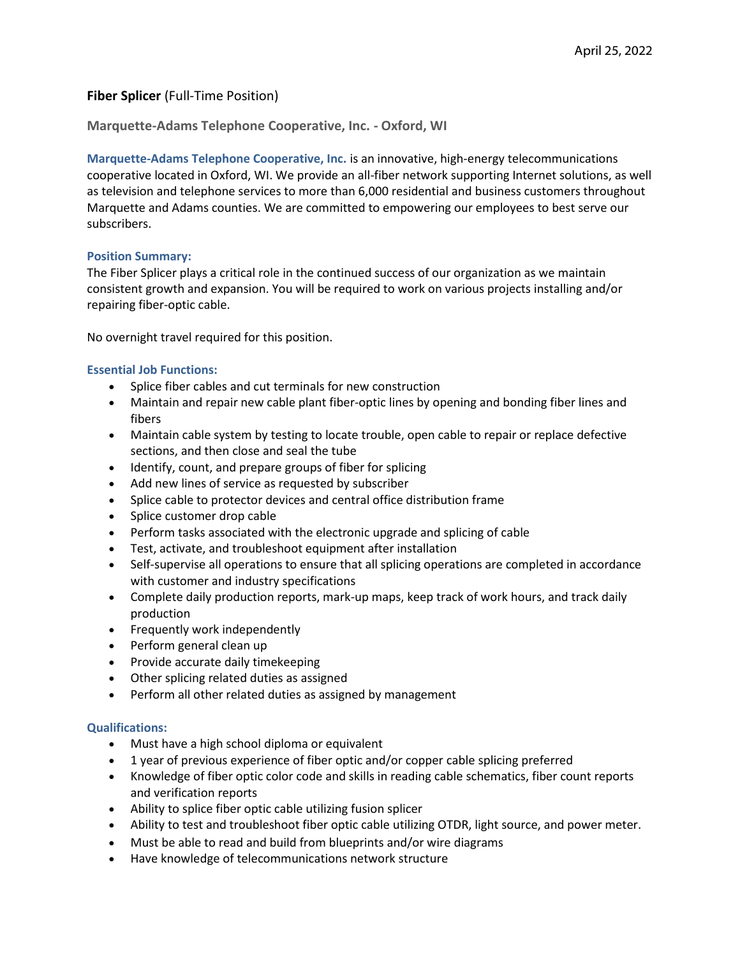# **Fiber Splicer** (Full-Time Position)

**Marquette-Adams Telephone Cooperative, Inc. - Oxford, WI**

**Marquette-Adams Telephone Cooperative, Inc.** is an innovative, high-energy telecommunications cooperative located in Oxford, WI. We provide an all-fiber network supporting Internet solutions, as well as television and telephone services to more than 6,000 residential and business customers throughout Marquette and Adams counties. We are committed to empowering our employees to best serve our subscribers.

### **Position Summary:**

The Fiber Splicer plays a critical role in the continued success of our organization as we maintain consistent growth and expansion. You will be required to work on various projects installing and/or repairing fiber-optic cable.

No overnight travel required for this position.

## **Essential Job Functions:**

- Splice fiber cables and cut terminals for new construction
- Maintain and repair new cable plant fiber-optic lines by opening and bonding fiber lines and fibers
- Maintain cable system by testing to locate trouble, open cable to repair or replace defective sections, and then close and seal the tube
- Identify, count, and prepare groups of fiber for splicing
- Add new lines of service as requested by subscriber
- Splice cable to protector devices and central office distribution frame
- Splice customer drop cable
- Perform tasks associated with the electronic upgrade and splicing of cable
- Test, activate, and troubleshoot equipment after installation
- Self-supervise all operations to ensure that all splicing operations are completed in accordance with customer and industry specifications
- Complete daily production reports, mark-up maps, keep track of work hours, and track daily production
- Frequently work independently
- Perform general clean up
- Provide accurate daily timekeeping
- Other splicing related duties as assigned
- Perform all other related duties as assigned by management

### **Qualifications:**

- Must have a high school diploma or equivalent
- 1 year of previous experience of fiber optic and/or copper cable splicing preferred
- Knowledge of fiber optic color code and skills in reading cable schematics, fiber count reports and verification reports
- Ability to splice fiber optic cable utilizing fusion splicer
- Ability to test and troubleshoot fiber optic cable utilizing OTDR, light source, and power meter.
- Must be able to read and build from blueprints and/or wire diagrams
- Have knowledge of telecommunications network structure